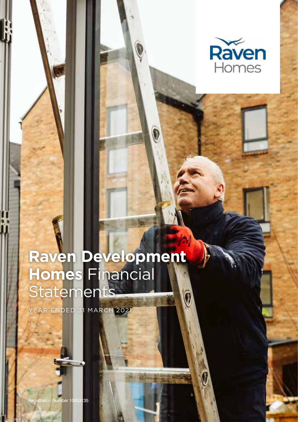

# **Raven Development Homes** Financial Statements

YEAR ENDED 31 MARCH 2021

ration Number 10653185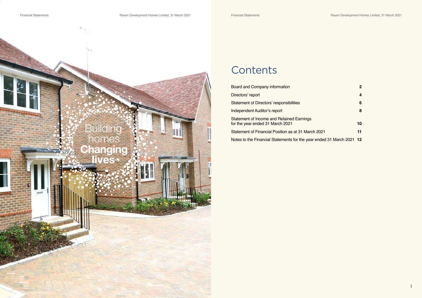

# **Contents**

Board and Company information **2**

Directors' report **4**

Statement of Income and Retained Earnings for the year ended 31 March 2021

Statement of Financial Position as at 31 March 20

Notes to the Financial Statements for the year en

|                   | -  |
|-------------------|----|
|                   | 4  |
|                   | 6  |
|                   | 8  |
|                   |    |
|                   | 10 |
| 021               | 11 |
| ded 31 March 2021 | 12 |

Statement of Directors' responsibilities **6**

Independent Auditor's report **8**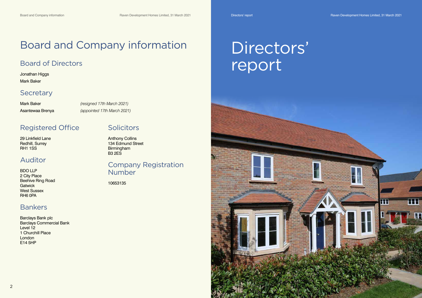# Directors' report

Directors' report Raven Development Homes Limited, 31 March 2021



# Board and Company information

## Board of Directors

Jonathan Higgs Mark Baker

### **Secretary**

Mark Baker *(resigned 17th March 2021)* Asantewaa Brenya *(appointed 17th March 2021)*

## Registered Office

29 Linkfield Lane Redhill, Surrey RH1 1SS

## Auditor

BDO LLP 2 City Place Beehive Ring Road **Gatwick** West Sussex RH6 0PA

### **Bankers**

Barclays Bank plc Barclays Commercial Bank Level 12 1 Churchill Place London E14 5HP

## **Solicitors**

Anthony Collins 134 Edmund Street Birmingham B3 2ES

### Company Registration Number

10653135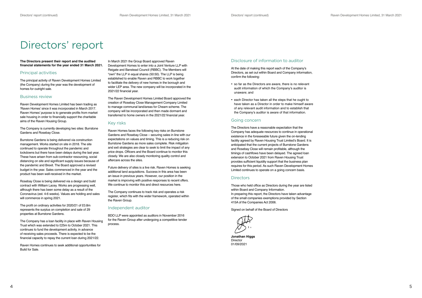#### Disclosure of information to auditor

At the date of making this report each of the Company's Directors, as set out within Board and Company information, confirm the following:

- so far as the Directors are aware, there is no relevant audit information of which the Company's auditor is unaware; and
- each Director has taken all the steps that he ought to have taken as a Director in order to make himself aware of any relevant audit information and to establish that the Company's auditor is aware of that information.

#### Going concern

The Directors have a reasonable expectation that the Company has adequate resources to continue in operational existence in the foreseeable future given the on-lending facility agreed by Raven Housing Trust Limited's Board. It is anticipated that the current projects of Burrstone Gardens and Rosebay Close will remain profitable, although the timings of cashflows have been delayed. The agreed loan extension to October 2021 from Raven Housing Trust provides sufficient liquidity support that the business plan requires for this period. As such Raven Development Homes Limited continues to operate on a going concern basis.

#### **Directors**

Those who held office as Directors during the year are listed within Board and Company Information. In preparing this report, the Directors have taken advantage of the small companies exemptions provided by Section 415A of the Companies Act 2006.

Signed on behalf of the Board of Directors



**Jonathan Higgs** Director 01/09/2021

Directors' report (continued) **Raven Development Homes Limited, 31 March 2021** Directors' report (continued) Raven Development Homes Limited, 31 March 2021

# Directors' report

**The Directors present their report and the audited financial statements for the year ended 31 March 2021.**

#### Principal activities

The principal activity of Raven Development Homes Limited (the Company) during the year was the development of homes for outright sale.

#### Business review

Raven Development Homes Limited has been trading as 'Raven Homes' since it was incorporated in March 2017. Raven Homes' purpose is to generate profits from market sale housing in order to financially support the charitable aims of the Raven Housing Group.

The Company is currently developing two sites: Burrstone Gardens and Rosebay Close.

Burrstone Gardens is being delivered via construction management. Works started on site in 2018. The site continued to operate throughout the pandemic and lockdowns but there have been delays during the last year. These have arisen from sub-contractor resourcing, social distancing on site and significant supply issues because of the pandemic and Brexit. The Board approved a revised budget in the year. Sales commenced in the year and the product has been well-received in the market.

Rosebay Close is being delivered via a design and build contract with William Lacey. Works are progressing well, although there has been some delay as a result of the Coronavirus (est. 4-6 weeks). Values are holding and sales will commence in spring 2021.

The profit on ordinary activities for 2020/21 of £0.8m represents the surplus on completion and sale of 29 properties at Burrstone Gardens.

The Company has a loan facility in place with Raven Housing Trust which was extended to £25m to October 2021. This continues to fund the development activity, in advance of receiving sales proceeds. There is expected to be the financial capacity to repay the current loan during 2021/22.

Raven Homes continues to seek additional opportunities for Build for Sale.

In March 2021 the Group Board approved Raven Development Homes to enter into a Joint Venture LLP with Reigate and Banstead Council (RBBC). The Members will "own" the LLP in equal shares (50:50). The LLP is being established to enable Raven and RBBC to work together to facilitate the delivery of new homes in the borough and wider LEP area. The new company will be incorporated in the 2021/22 financial year.

The Raven Development Homes Limited Board approved the creation of Rosebay Close Management Company Limited to manage communal land/areas for Cheam scheme. The company will be incorporated and then made dormant and transferred to home owners in the 2021/22 financial year.

#### Key risks

Raven Homes faces the following key risks on Burrstone Gardens and Rosebay Close – securing sales in line with our expectations on values and timing. This is a reducing risk on Burrstone Gardens as more sales complete. Risk mitigation and exit strategies are clear to seek to limit the impact of any price drops. Officers and the Board continue to monitor this closely. We are also closely monitoring quality control and aftercare across the sites.

Future delivery of sites is a live risk. Raven Homes is seeking additional land acquisitions. Success in this area has been an issue in previous years. However, our position in the market is improving with positive responses to recent offers. We continue to monitor this and direct resources here.

The Company continues to track risk and operates a risk register, which fits with the wider framework, operated within the Raven Group.

#### Independent auditor

BDO LLP were appointed as auditors in November 2016 for the Raven Group after undergoing a competitive tender process.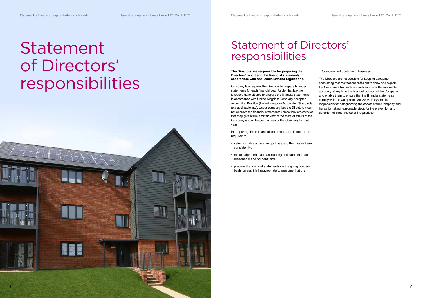

# Statement of Directors' responsibilities

#### **The Directors are responsible for preparing the Directors' report and the financial statements in accordance with applicable law and regulations.**

Company law requires the Directors to prepare financial statements for each financial year. Under that law the Directors have elected to prepare the financial statements in accordance with United Kingdom Generally Accepted Accounting Practice (United Kingdom Accounting Standards and applicable law). Under company law the Directors must not approve the financial statements unless they are satisfied that they give a true and fair view of the state of affairs of the Company and of the profit or loss of the Company for that year.

In preparing these financial statements, the Directors are required to:

- • select suitable accounting policies and then apply them consistently;
- make judgements and accounting estimates that are reasonable and prudent; and
- prepare the financial statements on the going concern basis unless it is inappropriate to presume that the

Company will continue in business.

The Directors are responsible for keeping adequate accounting records that are sufficient to show and explain the Company's transactions and disclose with reasonable accuracy at any time the financial position of the Company and enable them to ensure that the financial statements comply with the Companies Act 2006. They are also responsible for safeguarding the assets of the Company and hence for taking reasonable steps for the prevention and detection of fraud and other irregularities.

# Statement of Directors' responsibilities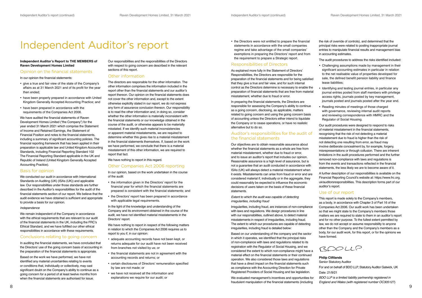• the Directors were not entitled to prepare the financial statements in accordance with the small companies regime and take advantage of the small companies' exemptions in preparing the Directors' report and from the requirement to prepare a Strategic report.

#### Responsibilities of Directors

As explained more fully in the Statement of Directors' Responsibilities, the Directors are responsible for the preparation of the financial statements and for being satisfied that they give a true and fair view, and for such internal control as the Directors determine is necessary to enable the preparation of financial statements that are free from material misstatement, whether due to fraud or error.

In preparing the financial statements, the Directors are responsible for assessing the Company's ability to continue as a going concern, disclosing, as applicable, matters related to going concern and using the going concern basis of accounting unless the Directors either intend to liquidate the Company or to cease operations, or have no realistic alternative but to do so.

#### Auditor's responsibilities for the audit of the financial statements

Our objectives are to obtain reasonable assurance about whether the financial statements as a whole are free from material misstatement, whether due to fraud or error, and to issue an auditor's report that includes our opinion. Reasonable assurance is a high level of assurance, but is not a guarantee that an audit conducted in accordance with ISAs (UK) will always detect a material misstatement when it exists. Misstatements can arise from fraud or error and are considered material if, individually or in the aggregate, they could reasonably be expected to influence the economic decisions of users taken on the basis of these financial statements.

*Extent to which the audit was capable of detecting irregularities, including fraud*

- Challenging assumptions made by management in their significant accounting estimates in particular in relation to the net realisable value of properties developed for sale, the defined benefit pension liability and finance lease liabilities;
- Identifying and testing journal entries, in particular any journal entries posted from staff members with privilege access rights, journals posted by key management, journals posted and journals posted after the year end.
- Reading minutes of meetings of those charged with governance, reviewing internal audit reports and reviewing correspondence with HMRC and the Regulator of Social Housing.

Irregularities, including fraud, are instances of non-compliance with laws and regulations. We design procedures in line with our responsibilities, outlined above, to detect material misstatements in respect of irregularities, including fraud. The extent to which our procedures are capable of detecting irregularities, including fraud is detailed below:

Based on our understanding of the company and the sector in which it operates, we identified that the principal risks of non-compliance with laws and regulations related to its registration with the Regulator of Social Housing, and we considered the extent to which non-compliance might have a material effect on the financial statements or their continued operation. We also considered those laws and regulations that have a direct impact on the financial statements such as compliance with the Accounting Direction for Private Registered Providers of Social Housing and tax legislation.

We evaluated management's incentives and opportunities for fraudulent manipulation of the financial statements (including

the risk of override of controls), and determined that the principal risks were related to posting inappropriate journal entries to manipulate financial results and management bias in accounting estimates.

The audit procedures to address the risks identified included:

Our audit procedures were designed to respond to risks of material misstatement in the financial statements, recognising that the risk of not detecting a material misstatement due to fraud is higher than the risk of not detecting one resulting from error, as fraud may involve deliberate concealment by, for example, forgery, misrepresentations or through collusion. There are inherent limitations in the audit procedures performed and the further removed non-compliance with laws and regulations is from the events and transactions reflected in the financial statements, the less likely we are to become aware of it.

A further description of our responsibilities is available on the Financial Reporting Council's website at: https://www.frc.org. uk/auditorsresponsibilities. This description forms part of our auditor's report.

#### Use of our report

- the information given in the Directors' report for the financial year for which the financial statements are prepared is consistent with the financial statements; and
- the Directors' report has been prepared in accordance with applicable legal requirements.

This report is made solely to the Company's members, as a body, in accordance with Chapter 3 of Part 16 of the Companies Act 2006. Our audit work has been undertaken so that we might state to the Company's members those matters we are required to state to them in an auditor's report and for no other purpose. To the fullest extent permitted by law, we do not accept or assume responsibility to anyone other than the Company and the Company's members as a body, for our audit work, for this report, or for the opinions we have formed.

BOOLLP

- adequate accounting records have not been kept, or returns adequate for our audit have not been received from branches not visited by us; or
- the financial statements are not in agreement with the accounting records and returns; or
- • certain disclosures of Directors' remuneration specified by law are not made; or
- we have not received all the information and explanations we require for our audit; or

**Philip Cliftlands** Senior Statutory Auditor For and on behalf of BDO LLP, Statutory Auditor Gatwick, UK Date: 21/9/21

*BDO LLP is a limited liability partnership registered in England and Wales (with registered number OC305127).*

# Independent Auditor's report

#### **Independent Auditor's Report to THE MEMBERS of Raven Development Homes Limited**

#### Opinion on the financial statements

In our opinion the financial statements:

- • give a true and fair view of the state of the Company's affairs as at 31 March 2021 and of its profit for the year then ended;
- have been properly prepared in accordance with United Kingdom Generally Accepted Accounting Practice; and
- have been prepared in accordance with the requirements of the Companies Act 2006.

We have audited the financial statements of Raven Development Homes Limited ("the Company") for the year ended 31 March 2021 which comprise the Statement of Income and Retained Earnings, the Statement of Financial Position and notes to the financial statements, including a summary of significant accounting policies. The financial reporting framework that has been applied in their preparation is applicable law and United Kingdom Accounting Standards, including Financial Reporting Standard 102 The Financial Reporting Standard applicable in the UK and Republic of Ireland (United Kingdom Generally Accepted Accounting Practice).

#### Basis for opinion

We conducted our audit in accordance with International Standards on Auditing (UK) (ISAs (UK)) and applicable law. Our responsibilities under those standards are further described in the Auditor's responsibilities for the audit of the financial statements section of our report. We believe that the audit evidence we have obtained is sufficient and appropriate to provide a basis for our opinion.

#### *Independence*

We remain independent of the Company in accordance with the ethical requirements that are relevant to our audit of the financial statements in the UK, including the FRC's Ethical Standard, and we have fulfilled our other ethical responsibilities in accordance with these requirements.

#### Conclusions relating to going concern

In auditing the financial statements, we have concluded that the Directors' use of the going concern basis of accounting in the preparation of the financial statements is appropriate.

Based on the work we have performed, we have not identified any material uncertainties relating to events or conditions that, individually or collectively, may cast significant doubt on the Company's ability to continue as a going concern for a period of at least twelve months from when the financial statements are authorised for issue.

Our responsibilities and the responsibilities of the Directors with respect to going concern are described in the relevant sections of this report.

#### Other information

The directors are responsible for the other information. The other information comprises the information included in the report other than the financial statements and our auditor's report thereon. Our opinion on the financial statements does not cover the other information and, except to the extent otherwise explicitly stated in our report, we do not express any form of assurance conclusion thereon. Our responsibility is to read the other information and, in doing so, consider whether the other information is materially inconsistent with the financial statements or our knowledge obtained in the course of the audit, or otherwise appears to be materially misstated. If we identify such material inconsistencies or apparent material misstatements, we are required to determine whether this gives rise to a material misstatement in the financial statements themselves. If, based on the work we have performed, we conclude that there is a material misstatement of this other information, we are required to report that fact.

#### We have nothing to report in this regard.

#### Other Companies Act 2006 reporting

In our opinion, based on the work undertaken in the course of the audit:

In the light of the knowledge and understanding of the Company and its environment obtained in the course of the audit, we have not identified material misstatements in the Directors' report.

We have nothing to report in respect of the following matters in relation to which the Companies Act 2006 requires us to report to you if, in our opinion: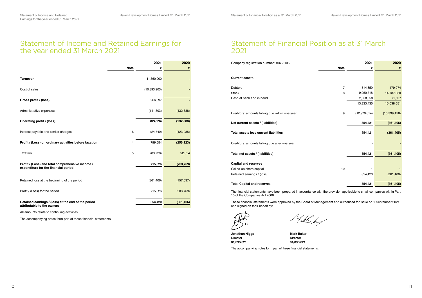### Statement of Income and Retained Earnings for the year ended 31 March 2021

|                                                                                          |             | 2021         | 2020       |
|------------------------------------------------------------------------------------------|-------------|--------------|------------|
|                                                                                          | <b>Note</b> | £            | £          |
| <b>Turnover</b>                                                                          |             | 11,860,000   |            |
| Cost of sales                                                                            |             | (10,893,903) |            |
| Gross profit / (loss)                                                                    |             | 966,097      |            |
| Administrative expenses                                                                  |             | (141, 803)   | (132, 888) |
| <b>Operating profit / (loss)</b>                                                         |             | 824,294      | (132, 888) |
| Interest payable and similar charges                                                     | 6           | (24, 740)    | (123, 235) |
| Profit / (Loss) on ordinary activities before taxation                                   | 4           | 799,554      | (256, 123) |
| Taxation                                                                                 | 5           | (83, 728)    | 52,354     |
| Profit / (Loss) and total comprehensive income /<br>expenditure for the financial period |             | 715,826      | (203, 769) |
| Retained loss at the beginning of the period                                             |             | (361, 406)   | (157, 637) |
| Profit / (Loss) for the period                                                           |             | 715,826      | (203, 769) |
| Retained earnings / (loss) at the end of the period<br>attributable to the owners        |             | 354,420      | (361, 406) |

All amounts relate to continuing activities.

The accompanying notes form part of these financial statements.

**Jonathan Higgs Mark Baker**<br>Director **Director** Director 01/09/2021 01/09/2021

### Statement of Financial Position as at 31 March 2021

| Company registration number: 10653135          |                | 2021         | 2020         |
|------------------------------------------------|----------------|--------------|--------------|
|                                                | <b>Note</b>    | £            | £            |
| <b>Current assets</b>                          |                |              |              |
| Debtors                                        | $\overline{7}$ | 514,659      | 179,074      |
| Stock                                          | 8              | 9,960,718    | 14,787,380   |
| Cash at bank and in hand                       |                | 2,858,058    | 71,597       |
|                                                |                | 13,333,435   | 15,038,051   |
| Creditors: amounts falling due within one year | 9              | (12,979,014) | (15,399,456) |
| Net current assets / (liabilities)             |                | 354,421      | (361, 405)   |
| Total assets less current liabilities          |                | 354,421      | (361, 405)   |
| Creditors: amounts falling due after one year  |                |              |              |
| Total net assets / (liabilities)               |                | 354,421      | (361, 405)   |
| <b>Capital and reserves</b>                    |                |              |              |
| Called up share capital                        | 10             | 1            |              |
| Retained earnings / (loss)                     |                | 354,420      | (361, 406)   |
| <b>Total Capital and reserves</b>              |                | 354.421      | (361, 405)   |

| Company registration number: 10653135                                                                                                                   |                | 2021         | 2020           |
|---------------------------------------------------------------------------------------------------------------------------------------------------------|----------------|--------------|----------------|
|                                                                                                                                                         | <b>Note</b>    | £            |                |
| <b>Current assets</b>                                                                                                                                   |                |              |                |
| <b>Debtors</b>                                                                                                                                          | $\overline{7}$ | 514,659      | 179,074        |
| <b>Stock</b>                                                                                                                                            | 8              | 9,960,718    | 14,787,380     |
| Cash at bank and in hand                                                                                                                                |                | 2,858,058    | 71,597         |
|                                                                                                                                                         |                | 13,333,435   | 15,038,051     |
| Creditors: amounts falling due within one year                                                                                                          | 9              | (12,979,014) | (15, 399, 456) |
| Net current assets / (liabilities)                                                                                                                      |                | 354,421      | (361, 405)     |
| <b>Total assets less current liabilities</b>                                                                                                            |                | 354,421      | (361, 405)     |
| Creditors: amounts falling due after one year                                                                                                           |                |              |                |
| Total net assets / (liabilities)                                                                                                                        |                | 354,421      | (361, 405)     |
| <b>Capital and reserves</b>                                                                                                                             |                |              |                |
| Called up share capital                                                                                                                                 | 10             | 1            |                |
| Retained earnings / (loss)                                                                                                                              |                | 354,420      | (361, 406)     |
| <b>Total Capital and reserves</b>                                                                                                                       |                | 354,421      | (361, 405)     |
| The financial statements have been prepared in accordance with the provision applicable to small companies within Part<br>15 of the Companies Act 2006. |                |              |                |
| These financial statements were approved by the Board of Management and authorised for issue on 1 September 2021<br>and signed on their behalf by:      |                |              |                |



TakSake

The accompanying notes form part of these financial statements.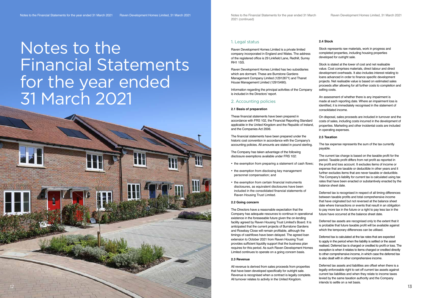# Notes to the Financial Statements for the year ended 31 March 2021



#### 1. Legal status

Raven Development Homes Limited is a private limited company incorporated in England and Wales. The address of the registered office is 29 Linkfield Lane, Redhill, Surrey RH1 1SS.

Raven Development Homes Limited has two subsidiaries which are dormant. These are Burrstone Gardens Management Company Limited (12912671) and Thanet House Management Limited (12915490).

Information regarding the principal activities of the Company is included in the Directors' report.

#### 2. Accounting policies

#### **2.1 Basis of preparation**

- the exemption from preparing a statement of cash flows;
- the exemption from disclosing key management personnel compensation; and
- the exemption from certain financial instruments disclosures, as equivalent disclosures have been included in the consolidated financial statements of Raven Housing Trust Limited.

These financial statements have been prepared in accordance with FRS 102, the Financial Reporting Standard applicable in the United Kingdom and the Republic of Ireland, and the Companies Act 2006.

The financial statements have been prepared under the historic cost convention in accordance with the Company's accounting policies. All amounts are stated in pound sterling.

The Company has taken advantage of the following disclosure exemptions available under FRS 102:

#### **2.2 Going concern**

The Directors have a reasonable expectation that the Company has adequate resources to continue in operational existence in the foreseeable future given the on-lending facility agreed by Raven Housing Trust Limited's Board. It is anticipated that the current projects of Burrstone Gardens and Rosebay Close will remain profitable, although the timings of cashflows have been delayed. The agreed loan extension to October 2021 from Raven Housing Trust provides sufficient liquidity support that the business plan requires for this period. As such Raven Development Homes Limited continues to operate on a going concern basis.

#### **2.3 Revenue**

All revenue is derived from sales proceeds from properties that have been developed specifically for outright sale. Revenue is recognised when a contract is legally complete. All turnover relates to activity in the United Kingdom.

#### **2.4 Stock**

Stock represents raw materials, work in progress and completed properties, including housing properties developed for outright sale.

Stock is stated at the lower of cost and net realisable value. Cost comprises materials, direct labour and direct development overheads. It also includes interest relating to loans advanced in order to finance specific development projects. Net realisable value is based on estimated sales proceeds after allowing for all further costs to completion and selling costs.

An assessment of whether there is any impairment is made at each reporting date. Where an impairment loss is identified, it is immediately recognised in the statement of consolidated income.

On disposal, sales proceeds are included in turnover and the costs of sales, including costs incurred in the development of properties. Marketing and other incidental costs are included in operating expenses.

#### **2.5 Taxation**

The tax expense represents the sum of the tax currently payable.

The current tax charge is based on the taxable profit for the period. Taxable profit differs from net profit as reported in the profit and loss account. It excludes items of income or expense that are taxable or deductible in other years and it further excludes items that are never taxable or deductible. The Company's liability for current tax is calculated using tax rates that have been enacted or substantively enacted by the balance sheet date.

Deferred tax is recognised in respect of all timing differences between taxable profits and total comprehensive income that have originated but not reversed at the balance sheet date where transactions or events that result in an obligation to pay more tax in the future or a right to pay less tax in the future have occurred at the balance sheet date.

Deferred tax assets are recognised only to the extent that it is probable that future taxable profit will be available against which the temporary differences can be utilised.

Deferred tax is calculated at the tax rates that are expected to apply in the period when the liability is settled or the asset realised. Deferred tax is charged or credited to profit or loss. The exception is when it relates to items charged or credited directly to other comprehensive income, in which case the deferred tax is also dealt with in other comprehensive income.

Deferred tax assets and liabilities are offset when there is a legally enforceable right to set off current tax assets against current tax liabilities and when they relate to income taxes levied by the same taxation authority and the Company intends to settle on a net basis.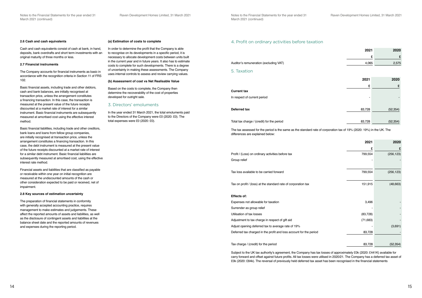#### **2.6 Cash and cash equivalents**

Cash and cash equivalents consist of cash at bank, in hand, deposits, bank overdrafts and short term investments with an original maturity of three months or less.

#### **2.7 Financial instruments**

The Company accounts for financial instruments as basic in accordance with the recognition criteria in Section 11 of FRS 102.

Basic financial assets, including trade and other debtors, cash and bank balances, are initially recognised at transaction price, unless the arrangement constitutes a financing transaction. In this case, the transaction is measured at the present value of the future receipts discounted at a market rate of interest for a similar instrument. Basic financial instruments are subsequently measured at amortised cost using the effective interest method.

Basic financial liabilities, including trade and other creditors, bank loans and loans from fellow group companies, are initially recognised at transaction price, unless the arrangement constitutes a financing transaction. In this case, the debt instrument is measured at the present value of the future receipts discounted at a market rate of interest for a similar debt instrument. Basic financial liabilities are subsequently measured at amortised cost, using the effective interest rate method.

Financial assets and liabilities that are classified as payable or receivable within one year on initial recognition are measured at the undiscounted amounts of the cash or other consideration expected to be paid or received, net of impairment.

#### **2.8 Key sources of estimation uncertainty**

The preparation of financial statements in conformity with generally accepted accounting practice, requires management to make estimates and judgements. These affect the reported amounts of assets and liabilities, as well as the disclosure of contingent assets and liabilities at the balance sheet date and the reported amounts of revenues and expenses during the reporting period.

#### **(a) Estimation of costs to complete**

In order to determine the profit that the Company is able to recognise on its developments in a specific period, it is necessary to allocate development costs between units built in the current year and in future years. It also has to estimate costs to complete for such developments. There is a degree of uncertainty in making these assessments. The Company uses internal controls to assess and review carrying values.

#### **(b) Assessment of cost vs Net Realisable Value**

Based on the costs to complete, the Company then determine the recoverability of the cost of properties developed for outright sale.

#### 3. Directors' emoluments

In the year ended 31 March 2021, the total emoluments paid to the Directors of the Company were £0 (2020: £0). The total expenses were £0 (2020: £0).

#### 4. Profit on ordinary activities before taxation

Auditor's remuneration (excluding VAT)

| 2020  | 2021  |
|-------|-------|
|       | £     |
| 2,575 | 4,065 |

5. Taxation

|                                            | 2021   | 2020      |
|--------------------------------------------|--------|-----------|
|                                            | £      | £         |
| <b>Current tax</b>                         |        |           |
| In respect of current period               | $\,$   |           |
|                                            |        |           |
| Deferred tax                               | 83,728 | (52, 354) |
|                                            |        |           |
| Total tax charge / (credit) for the period | 83,728 | (52, 354) |

The tax assessed for the period is the same as the standard rate of corporation tax of 19% (2020: 19%) in the UK. The differences are explained below:

|                                                                    | 2021      | 2020       |
|--------------------------------------------------------------------|-----------|------------|
|                                                                    | £         | £          |
| Profit / (Loss) on ordinary activities before tax                  | 799,554   | (256, 123) |
| Group relief                                                       |           |            |
| Tax loss available to be carried forward                           | 799,554   | (256, 123) |
| Tax on profit / (loss) at the standard rate of corporation tax     | 151,915   | (48, 663)  |
| Effects of:                                                        |           |            |
| Expenses not allowable for taxation                                | 3,496     |            |
| Surrender as group relief                                          |           |            |
| Utilisation of tax losses                                          | (83, 728) |            |
| Adjustment to tax charge in respect of gift aid                    | (71, 683) |            |
| Adjust opening deferred tax to average rate of 19%                 |           | (3,691)    |
| Deferred tax charged in the profit and loss account for the period | 83,728    |            |
| Tax charge / (credit) for the period                               | 83,728    | (52, 354)  |

**Effects of:**

Subject to the UK tax authority's agreement, the Company has tax losses of approximately £0k (2020: £441K) available for carry forward and offset against future profits. All tax losses were utilised in 2020/21. The Company has a deferred tax asset of £0k (2020: £84k). The reversal of previously held deferred tax asset has been recognised in the financial statements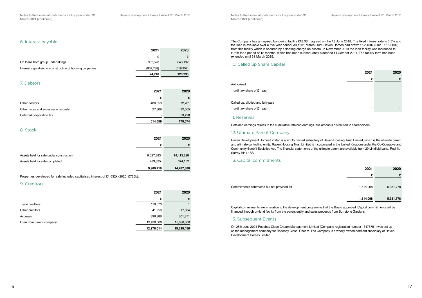#### 6. Interest payable

|                                                            | 2021       | 2020       |
|------------------------------------------------------------|------------|------------|
|                                                            |            | £          |
| On loans from group undertakings                           | 932.528    | 643,192    |
| Interest capitalised on construction of housing properties | (907, 788) | (519, 957) |
|                                                            | 24.740     | 123,235    |

#### 7. Debtors

|                                       | 2021    | 2020    |
|---------------------------------------|---------|---------|
|                                       | £       |         |
| Other debtors                         | 486,850 | 72,781  |
| Other taxes and social security costs | 27,809  | 22,565  |
| Deferred corporation tax              |         | 83,728  |
|                                       | 514,659 | 179,074 |

#### 8. Stock

|                                         | 2021      | 2020       |
|-----------------------------------------|-----------|------------|
|                                         | £         | £          |
| Assets held for sale under construction | 9,527,383 | 14,413,228 |
| Assets held for sale completed          | 433,335   | 374,152    |
|                                         | 9,960,718 | 14,787,380 |

Properties developed for sale included capitalised interest of £1,632k (2020: £725k).

#### 9. Creditors

|                          | 2021       | 2020       |
|--------------------------|------------|------------|
|                          | £          | £          |
| Trade creditors          | 110,670    |            |
| Other creditors          | 41,956     | 17,584     |
| Accruals                 | 396,388    | 301,871    |
| Loan from parent company | 12,430,000 | 15,080,000 |
|                          | 12,979,014 | 15,399,456 |

The Company has an agreed borrowing facility £18.33m agreed on the 18 June 2018. The fixed interest rate is 5.5% and<br>the loan is available over a five year period. As at 31 March 2021 Raven Homes had drawn £12,430k (2020:

| The Company has an agreed borrowing facility £18.33m agreed on the 18 June 2018. The fixed interest rate is 5.5% an     |
|-------------------------------------------------------------------------------------------------------------------------|
| the loan is available over a five year period. As at 31 March 2021 Raven Homes had drawn £12,430k (2020: £15,080k)      |
| from this facility which is secured by a floating charge on assets. In November 2019 the loan facility was increased to |
| £25m for a period of 12 months, which has been subsequently extended till October 2021. The facility term has been      |
| extended until 31 March 2025.                                                                                           |

#### 10. Called up Share Capital

| 2020 | 2021 |
|------|------|
| £    | £    |
|      | 1    |
|      |      |

|                                                                                                                                                                                                                                                                                                                                                                                                                 | £ |  |
|-----------------------------------------------------------------------------------------------------------------------------------------------------------------------------------------------------------------------------------------------------------------------------------------------------------------------------------------------------------------------------------------------------------------|---|--|
| Authorised                                                                                                                                                                                                                                                                                                                                                                                                      |   |  |
| 1 ordinary share of £1 each                                                                                                                                                                                                                                                                                                                                                                                     |   |  |
|                                                                                                                                                                                                                                                                                                                                                                                                                 |   |  |
| Called up, allotted and fully paid                                                                                                                                                                                                                                                                                                                                                                              |   |  |
| 1 ordinary share of £1 each                                                                                                                                                                                                                                                                                                                                                                                     |   |  |
| 11. Reserves                                                                                                                                                                                                                                                                                                                                                                                                    |   |  |
| Retained earnings relates to the cumulative retained earnings less amounts distributed to shareholders.                                                                                                                                                                                                                                                                                                         |   |  |
| 12. Ultimate Parent Company                                                                                                                                                                                                                                                                                                                                                                                     |   |  |
| Raven Development Homes Limited is a wholly owned subsidiary of Raven Housing Trust Limited, which is the ultimate paren<br>and ultimate controlling entity. Raven Housing Trust Limited is incorporated in the United Kingdom under the Co-Operative and<br>Community Benefit Societies Act. The financial statements of the ultimate parent are available from 29 Linkfield Lane, Redhill,<br>Surrey RH1 1SS. |   |  |
| 13. Capital commitments                                                                                                                                                                                                                                                                                                                                                                                         |   |  |

Commitments contracted but not provided for

| 2020      | 2021      |
|-----------|-----------|
| £         | £         |
| 5,331,778 | 1,514,098 |
| 5,331,778 | 1,514,098 |

Capital commitments are in relation to the development programme that the Board approved. Capital commitments will be financed through on-lend facility from the parent entity and sales proceeds from Burrstone Gardens.

#### 13. Subsequent Events

On 25th June 2021 Rosebay Close Cheam Management Limited (Company registration number 13478751) was set up as the management company for Rosebay Close, Cheam. The Company is a wholly owned dormant subsidiary of Raven Development Homes Limited.